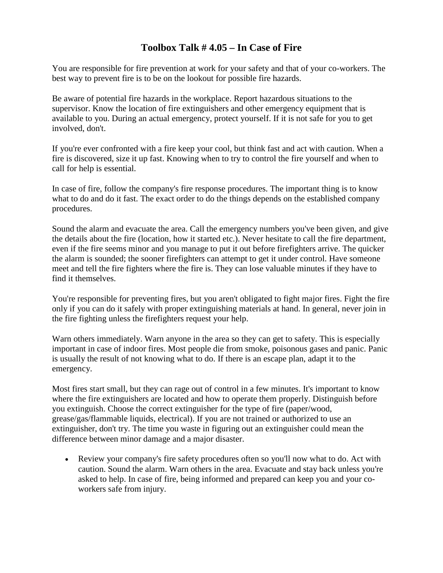## **Toolbox Talk # 4.05 – In Case of Fire**

You are responsible for fire prevention at work for your safety and that of your co-workers. The best way to prevent fire is to be on the lookout for possible fire hazards.

Be aware of potential fire hazards in the workplace. Report hazardous situations to the supervisor. Know the location of fire extinguishers and other emergency equipment that is available to you. During an actual emergency, protect yourself. If it is not safe for you to get involved, don't.

If you're ever confronted with a fire keep your cool, but think fast and act with caution. When a fire is discovered, size it up fast. Knowing when to try to control the fire yourself and when to call for help is essential.

In case of fire, follow the company's fire response procedures. The important thing is to know what to do and do it fast. The exact order to do the things depends on the established company procedures.

Sound the alarm and evacuate the area. Call the emergency numbers you've been given, and give the details about the fire (location, how it started etc.). Never hesitate to call the fire department, even if the fire seems minor and you manage to put it out before firefighters arrive. The quicker the alarm is sounded; the sooner firefighters can attempt to get it under control. Have someone meet and tell the fire fighters where the fire is. They can lose valuable minutes if they have to find it themselves.

You're responsible for preventing fires, but you aren't obligated to fight major fires. Fight the fire only if you can do it safely with proper extinguishing materials at hand. In general, never join in the fire fighting unless the firefighters request your help.

Warn others immediately. Warn anyone in the area so they can get to safety. This is especially important in case of indoor fires. Most people die from smoke, poisonous gases and panic. Panic is usually the result of not knowing what to do. If there is an escape plan, adapt it to the emergency.

Most fires start small, but they can rage out of control in a few minutes. It's important to know where the fire extinguishers are located and how to operate them properly. Distinguish before you extinguish. Choose the correct extinguisher for the type of fire (paper/wood, grease/gas/flammable liquids, electrical). If you are not trained or authorized to use an extinguisher, don't try. The time you waste in figuring out an extinguisher could mean the difference between minor damage and a major disaster.

• Review your company's fire safety procedures often so you'll now what to do. Act with caution. Sound the alarm. Warn others in the area. Evacuate and stay back unless you're asked to help. In case of fire, being informed and prepared can keep you and your coworkers safe from injury.